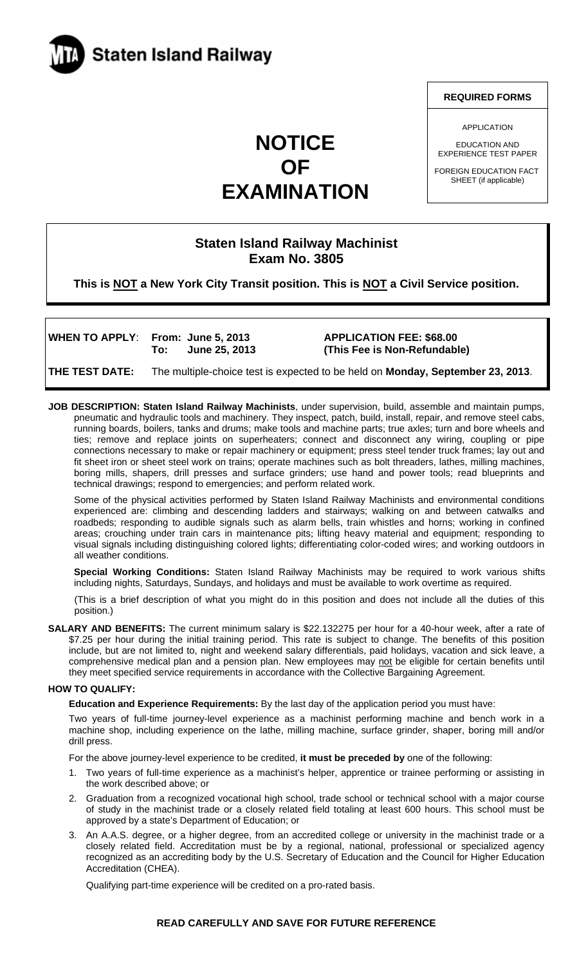

## **NOTICE OF EXAMINATION**

# **Staten Island Railway Machinist**

### **Exam No. 3805**

**This is NOT a New York City Transit position. This is NOT a Civil Service position.** 

WHEN TO APPLY: From: June 5, 2013 **APPLICATION FEE: \$68.00** 

 **To: June 25, 2013 (This Fee is Non-Refundable)** 

**THE TEST DATE:** The multiple-choice test is expected to be held on **Monday, September 23, 2013**.

**JOB DESCRIPTION: Staten Island Railway Machinists**, under supervision, build, assemble and maintain pumps, pneumatic and hydraulic tools and machinery. They inspect, patch, build, install, repair, and remove steel cabs, running boards, boilers, tanks and drums; make tools and machine parts; true axles; turn and bore wheels and ties; remove and replace joints on superheaters; connect and disconnect any wiring, coupling or pipe connections necessary to make or repair machinery or equipment; press steel tender truck frames; lay out and fit sheet iron or sheet steel work on trains; operate machines such as bolt threaders, lathes, milling machines, boring mills, shapers, drill presses and surface grinders; use hand and power tools; read blueprints and technical drawings; respond to emergencies; and perform related work.

Some of the physical activities performed by Staten Island Railway Machinists and environmental conditions experienced are: climbing and descending ladders and stairways; walking on and between catwalks and roadbeds; responding to audible signals such as alarm bells, train whistles and horns; working in confined areas; crouching under train cars in maintenance pits; lifting heavy material and equipment; responding to visual signals including distinguishing colored lights; differentiating color-coded wires; and working outdoors in all weather conditions.

**Special Working Conditions:** Staten Island Railway Machinists may be required to work various shifts including nights, Saturdays, Sundays, and holidays and must be available to work overtime as required.

(This is a brief description of what you might do in this position and does not include all the duties of this position.)

**SALARY AND BENEFITS:** The current minimum salary is \$22.132275 per hour for a 40-hour week, after a rate of \$7.25 per hour during the initial training period. This rate is subject to change. The benefits of this position include, but are not limited to, night and weekend salary differentials, paid holidays, vacation and sick leave, a comprehensive medical plan and a pension plan. New employees may not be eligible for certain benefits until they meet specified service requirements in accordance with the Collective Bargaining Agreement.

#### **HOW TO QUALIFY:**

**Education and Experience Requirements:** By the last day of the application period you must have:

Two years of full-time journey-level experience as a machinist performing machine and bench work in a machine shop, including experience on the lathe, milling machine, surface grinder, shaper, boring mill and/or drill press.

For the above journey-level experience to be credited, **it must be preceded by** one of the following:

- 1. Two years of full-time experience as a machinist's helper, apprentice or trainee performing or assisting in the work described above; or
- 2. Graduation from a recognized vocational high school, trade school or technical school with a major course of study in the machinist trade or a closely related field totaling at least 600 hours. This school must be approved by a state's Department of Education; or
- 3. An A.A.S. degree, or a higher degree, from an accredited college or university in the machinist trade or a closely related field. Accreditation must be by a regional, national, professional or specialized agency recognized as an accrediting body by the U.S. Secretary of Education and the Council for Higher Education Accreditation (CHEA).

Qualifying part-time experience will be credited on a pro-rated basis.

**REQUIRED FORMS** 

APPLICATION

EDUCATION AND EXPERIENCE TEST PAPER

FOREIGN EDUCATION FACT SHEET (if applicable)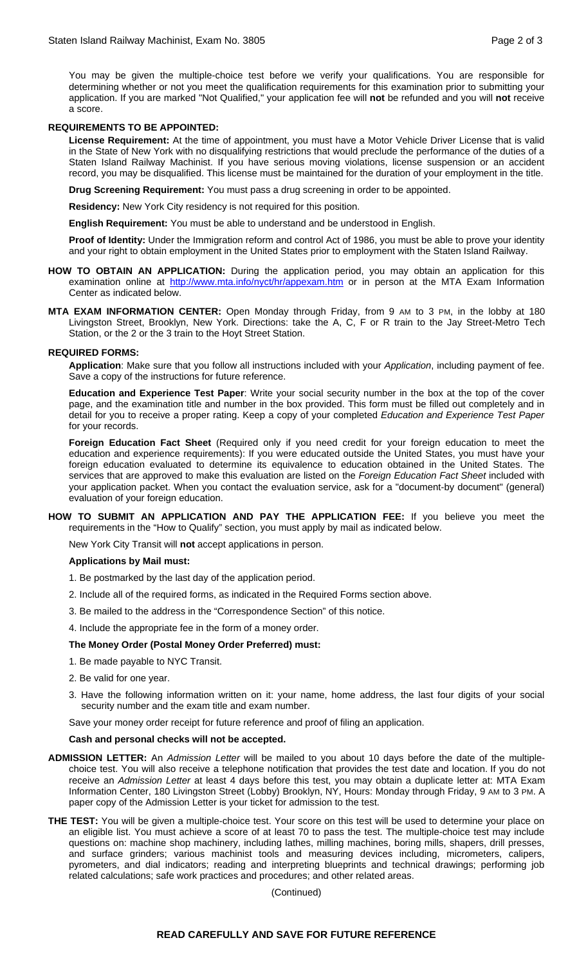You may be given the multiple-choice test before we verify your qualifications. You are responsible for determining whether or not you meet the qualification requirements for this examination prior to submitting your application. If you are marked "Not Qualified," your application fee will **not** be refunded and you will **not** receive a score.

#### **REQUIREMENTS TO BE APPOINTED:**

**License Requirement:** At the time of appointment, you must have a Motor Vehicle Driver License that is valid in the State of New York with no disqualifying restrictions that would preclude the performance of the duties of a Staten Island Railway Machinist. If you have serious moving violations, license suspension or an accident record, you may be disqualified. This license must be maintained for the duration of your employment in the title.

**Drug Screening Requirement:** You must pass a drug screening in order to be appointed.

**Residency:** New York City residency is not required for this position.

**English Requirement:** You must be able to understand and be understood in English.

**Proof of Identity:** Under the Immigration reform and control Act of 1986, you must be able to prove your identity and your right to obtain employment in the United States prior to employment with the Staten Island Railway.

- **HOW TO OBTAIN AN APPLICATION:** During the application period, you may obtain an application for this examination online at http://www.mta.info/nyct/hr/appexam.htm or in person at the MTA Exam Information Center as indicated below.
- **MTA EXAM INFORMATION CENTER:** Open Monday through Friday, from 9 AM to 3 PM, in the lobby at 180 Livingston Street, Brooklyn, New York. Directions: take the A, C, F or R train to the Jay Street-Metro Tech Station, or the 2 or the 3 train to the Hoyt Street Station.

#### **REQUIRED FORMS:**

**Application**: Make sure that you follow all instructions included with your *Application*, including payment of fee. Save a copy of the instructions for future reference.

**Education and Experience Test Paper**: Write your social security number in the box at the top of the cover page, and the examination title and number in the box provided. This form must be filled out completely and in detail for you to receive a proper rating. Keep a copy of your completed *Education and Experience Test Paper* for your records.

**Foreign Education Fact Sheet** (Required only if you need credit for your foreign education to meet the education and experience requirements): If you were educated outside the United States, you must have your foreign education evaluated to determine its equivalence to education obtained in the United States. The services that are approved to make this evaluation are listed on the *Foreign Education Fact Sheet* included with your application packet. When you contact the evaluation service, ask for a "document-by document" (general) evaluation of your foreign education.

**HOW TO SUBMIT AN APPLICATION AND PAY THE APPLICATION FEE:** If you believe you meet the requirements in the "How to Qualify" section, you must apply by mail as indicated below.

New York City Transit will **not** accept applications in person.

#### **Applications by Mail must:**

- 1. Be postmarked by the last day of the application period.
- 2. Include all of the required forms, as indicated in the Required Forms section above.
- 3. Be mailed to the address in the "Correspondence Section" of this notice.
- 4. Include the appropriate fee in the form of a money order.

#### **The Money Order (Postal Money Order Preferred) must:**

- 1. Be made payable to NYC Transit.
- 2. Be valid for one year.
- 3. Have the following information written on it: your name, home address, the last four digits of your social security number and the exam title and exam number.
- Save your money order receipt for future reference and proof of filing an application.

#### **Cash and personal checks will not be accepted.**

- **ADMISSION LETTER:** An *Admission Letter* will be mailed to you about 10 days before the date of the multiplechoice test. You will also receive a telephone notification that provides the test date and location. If you do not receive an *Admission Letter* at least 4 days before this test, you may obtain a duplicate letter at: MTA Exam Information Center, 180 Livingston Street (Lobby) Brooklyn, NY, Hours: Monday through Friday, 9 AM to 3 PM. A paper copy of the Admission Letter is your ticket for admission to the test.
- **THE TEST:** You will be given a multiple-choice test. Your score on this test will be used to determine your place on an eligible list. You must achieve a score of at least 70 to pass the test. The multiple-choice test may include questions on: machine shop machinery, including lathes, milling machines, boring mills, shapers, drill presses, and surface grinders; various machinist tools and measuring devices including, micrometers, calipers, pyrometers, and dial indicators; reading and interpreting blueprints and technical drawings; performing job related calculations; safe work practices and procedures; and other related areas.

(Continued)

#### **READ CAREFULLY AND SAVE FOR FUTURE REFERENCE**